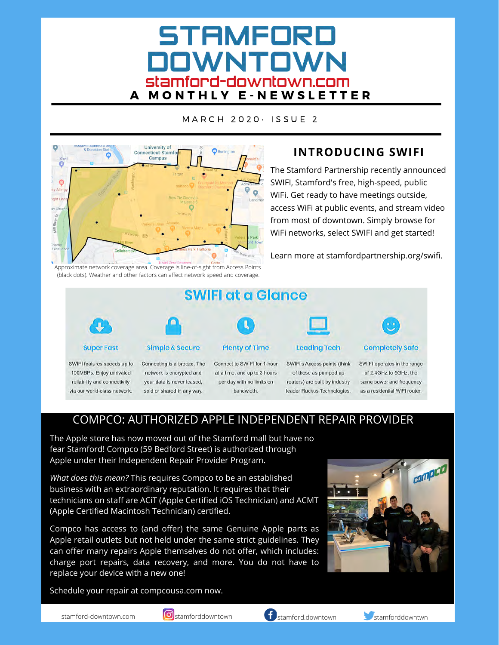# STAMFORD **DOWNTOWN** Stamford-downtown.com<br>A M O N T H L Y E - N E W S L E T T E R

M A R C H 2 0 2 0 · ISSUE 2



## **INTRODUCING SWIFI**

The Stamford Partnership recently announced SWIFI, Stamford's free, high-speed, public WiFi. Get ready to have meetings outside, access WiFi at public events, and stream video from most of downtown. Simply browse for WiFi networks, select SWIFI and get started!

Learn more at stamfordpartnership.org/swifi.



reliability and connectivity via our world-class network.

| <b>Simple &amp; Secure</b>  |
|-----------------------------|
| Connecting is a breeze. The |
| network is encrypted and    |
| your data is never leased.  |

sold or shared in any way.

per day with no limits on

routers) are built by industry leader Ruckus Technologies.

same power and frequency as a residential WiFi router.

## COMPCO: AUTHORIZED APPLE INDEPENDENT REPAIR PROVIDER

bandwidth.

The Apple store has now moved out of the Stamford mall but have no fear Stamford! Compco (59 Bedford Street) is authorized through Apple under their Independent Repair Provider Program.

*What does this mean?* This requires Compco to be an established business with an extraordinary reputation. It requires that their technicians on staff are ACiT (Apple Certified iOS Technician) and ACMT (Apple Certified Macintosh Technician) certified.

Compco has access to (and offer) the same Genuine Apple parts as Apple retail outlets but not held under the same strict guidelines. They can offer many repairs Apple themselves do not offer, which includes: charge port repairs, data recovery, and more. You do not have to replace your device with a new one!

Schedule your repair at compcousa.com now.





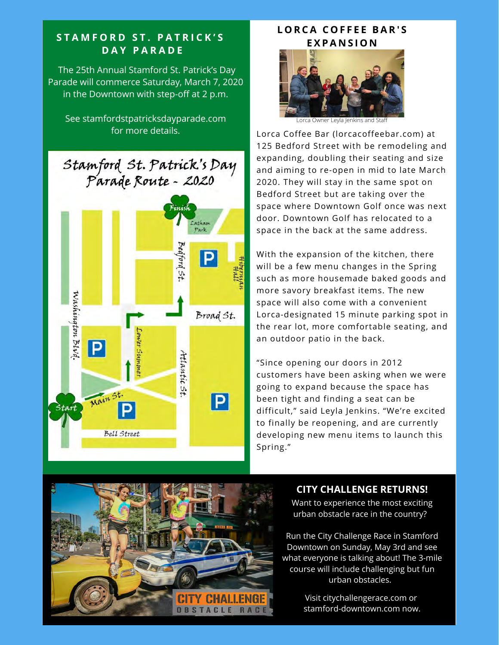#### **S T A M F O R D S T . P A T R I C K ' S D A Y P A R A D E**

The 25th Annual Stamford St. Patrick's Day Parade will commerce Saturday, March 7, 2020 in the Downtown with step-off at 2 p.m.

See stamfordstpatricksdayparade.com for more details.



### **L O R C A C O F F E E B A R ' S E X P A N S I O N**



Lorca Owner Leyla Jenkins and Staff

Lorca Coffee Bar (lorcacoffeebar.com) at 125 Bedford Street with be remodeling and expanding, doubling their seating and size and aiming to re-open in mid to late March 2020. They will stay in the same spot on Bedford Street but are taking over the space where Downtown Golf once was next door. Downtown Golf has relocated to a space in the back at the same address.

With the expansion of the kitchen, there will be a few menu changes in the Spring such as more housemade baked goods and more savory breakfast items. The new space will also come with a convenient Lorca-designated 15 minute parking spot in the rear lot, more comfortable seating, and an outdoor patio in the back.

"Since opening our doors in 2012 customers have been asking when we were going to expand because the space has been tight and finding a seat can be difficult," said Leyla Jenkins. "We're excited to finally be reopening, and are currently developing new menu items to launch this Spring."



#### **CITY CHALLENGE RETURNS!**

Want to experience the most exciting urban obstacle race in the country?

Run the City Challenge Race in Stamford Downtown on Sunday, May 3rd and see what everyone is talking about! The 3-mile course will include challenging but fun urban obstacles.

> Visit citychallengerace.com or stamford-downtown.com now.